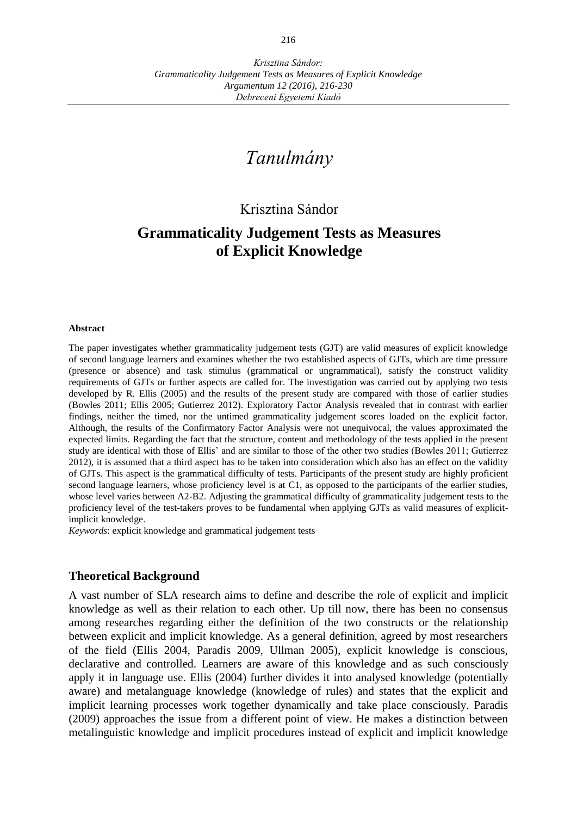# *Tanulmány*

## Krisztina Sándor

# **Grammaticality Judgement Tests as Measures of Explicit Knowledge**

#### **Abstract**

The paper investigates whether grammaticality judgement tests (GJT) are valid measures of explicit knowledge of second language learners and examines whether the two established aspects of GJTs, which are time pressure (presence or absence) and task stimulus (grammatical or ungrammatical), satisfy the construct validity requirements of GJTs or further aspects are called for. The investigation was carried out by applying two tests developed by R. Ellis (2005) and the results of the present study are compared with those of earlier studies (Bowles 2011; Ellis 2005; Gutierrez 2012). Exploratory Factor Analysis revealed that in contrast with earlier findings, neither the timed, nor the untimed grammaticality judgement scores loaded on the explicit factor. Although, the results of the Confirmatory Factor Analysis were not unequivocal, the values approximated the expected limits. Regarding the fact that the structure, content and methodology of the tests applied in the present study are identical with those of Ellis' and are similar to those of the other two studies (Bowles 2011; Gutierrez 2012), it is assumed that a third aspect has to be taken into consideration which also has an effect on the validity of GJTs. This aspect is the grammatical difficulty of tests. Participants of the present study are highly proficient second language learners, whose proficiency level is at C1, as opposed to the participants of the earlier studies, whose level varies between A2-B2. Adjusting the grammatical difficulty of grammaticality judgement tests to the proficiency level of the test-takers proves to be fundamental when applying GJTs as valid measures of explicitimplicit knowledge.

*Keywords*: explicit knowledge and grammatical judgement tests

#### **Theoretical Background**

A vast number of SLA research aims to define and describe the role of explicit and implicit knowledge as well as their relation to each other. Up till now, there has been no consensus among researches regarding either the definition of the two constructs or the relationship between explicit and implicit knowledge. As a general definition, agreed by most researchers of the field (Ellis 2004, Paradis 2009, Ullman 2005), explicit knowledge is conscious, declarative and controlled. Learners are aware of this knowledge and as such consciously apply it in language use. Ellis (2004) further divides it into analysed knowledge (potentially aware) and metalanguage knowledge (knowledge of rules) and states that the explicit and implicit learning processes work together dynamically and take place consciously. Paradis (2009) approaches the issue from a different point of view. He makes a distinction between metalinguistic knowledge and implicit procedures instead of explicit and implicit knowledge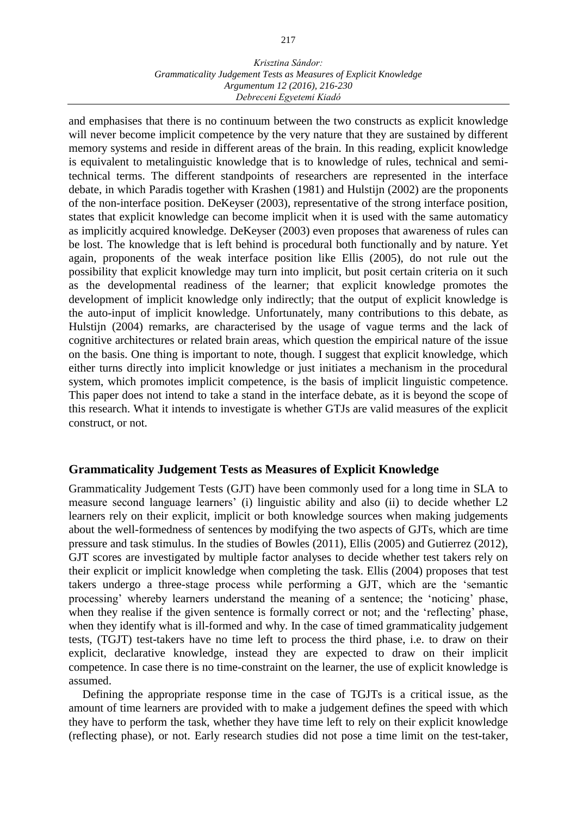#### *Krisztina Sándor: Grammaticality Judgement Tests as Measures of Explicit Knowledge Argumentum 12 (2016), 216-230 Debreceni Egyetemi Kiadó*

and emphasises that there is no continuum between the two constructs as explicit knowledge will never become implicit competence by the very nature that they are sustained by different memory systems and reside in different areas of the brain. In this reading, explicit knowledge is equivalent to metalinguistic knowledge that is to knowledge of rules, technical and semitechnical terms. The different standpoints of researchers are represented in the interface debate, in which Paradis together with Krashen (1981) and Hulstijn (2002) are the proponents of the non-interface position. DeKeyser (2003), representative of the strong interface position, states that explicit knowledge can become implicit when it is used with the same automaticy as implicitly acquired knowledge. DeKeyser (2003) even proposes that awareness of rules can be lost. The knowledge that is left behind is procedural both functionally and by nature. Yet again, proponents of the weak interface position like Ellis (2005), do not rule out the possibility that explicit knowledge may turn into implicit, but posit certain criteria on it such as the developmental readiness of the learner; that explicit knowledge promotes the development of implicit knowledge only indirectly; that the output of explicit knowledge is the auto-input of implicit knowledge. Unfortunately, many contributions to this debate, as Hulstijn (2004) remarks, are characterised by the usage of vague terms and the lack of cognitive architectures or related brain areas, which question the empirical nature of the issue on the basis. One thing is important to note, though. I suggest that explicit knowledge, which either turns directly into implicit knowledge or just initiates a mechanism in the procedural system, which promotes implicit competence, is the basis of implicit linguistic competence. This paper does not intend to take a stand in the interface debate, as it is beyond the scope of this research. What it intends to investigate is whether GTJs are valid measures of the explicit construct, or not.

## **Grammaticality Judgement Tests as Measures of Explicit Knowledge**

Grammaticality Judgement Tests (GJT) have been commonly used for a long time in SLA to measure second language learners' (i) linguistic ability and also (ii) to decide whether L2 learners rely on their explicit, implicit or both knowledge sources when making judgements about the well-formedness of sentences by modifying the two aspects of GJTs, which are time pressure and task stimulus. In the studies of Bowles (2011), Ellis (2005) and Gutierrez (2012), GJT scores are investigated by multiple factor analyses to decide whether test takers rely on their explicit or implicit knowledge when completing the task. Ellis (2004) proposes that test takers undergo a three-stage process while performing a GJT, which are the 'semantic processing' whereby learners understand the meaning of a sentence; the 'noticing' phase, when they realise if the given sentence is formally correct or not; and the 'reflecting' phase, when they identify what is ill-formed and why. In the case of timed grammaticality judgement tests, (TGJT) test-takers have no time left to process the third phase, i.e. to draw on their explicit, declarative knowledge, instead they are expected to draw on their implicit competence. In case there is no time-constraint on the learner, the use of explicit knowledge is assumed.

Defining the appropriate response time in the case of TGJTs is a critical issue, as the amount of time learners are provided with to make a judgement defines the speed with which they have to perform the task, whether they have time left to rely on their explicit knowledge (reflecting phase), or not. Early research studies did not pose a time limit on the test-taker,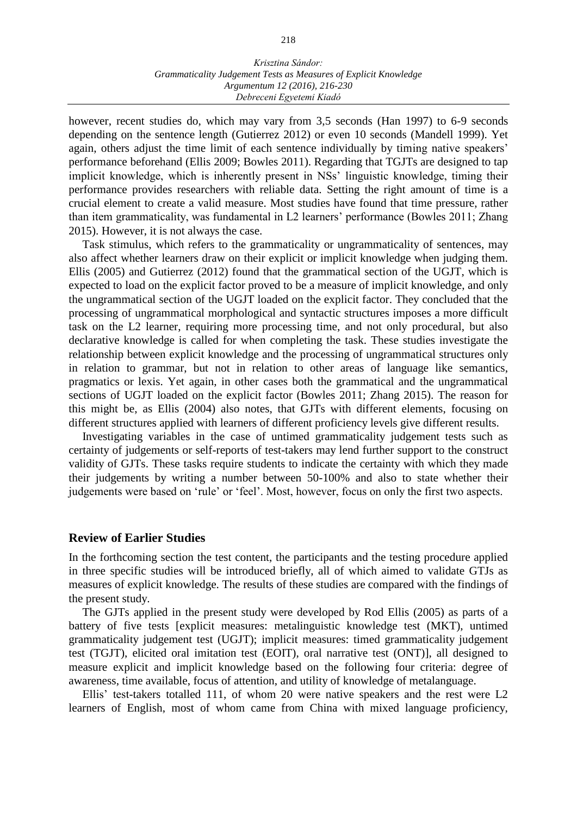#### *Krisztina Sándor: Grammaticality Judgement Tests as Measures of Explicit Knowledge Argumentum 12 (2016), 216-230 Debreceni Egyetemi Kiadó*

however, recent studies do, which may vary from 3,5 seconds (Han 1997) to 6-9 seconds depending on the sentence length (Gutierrez 2012) or even 10 seconds (Mandell 1999). Yet again, others adjust the time limit of each sentence individually by timing native speakers' performance beforehand (Ellis 2009; Bowles 2011). Regarding that TGJTs are designed to tap implicit knowledge, which is inherently present in NSs' linguistic knowledge, timing their performance provides researchers with reliable data. Setting the right amount of time is a crucial element to create a valid measure. Most studies have found that time pressure, rather than item grammaticality, was fundamental in L2 learners' performance (Bowles 2011; Zhang 2015). However, it is not always the case.

Task stimulus, which refers to the grammaticality or ungrammaticality of sentences, may also affect whether learners draw on their explicit or implicit knowledge when judging them. Ellis (2005) and Gutierrez (2012) found that the grammatical section of the UGJT, which is expected to load on the explicit factor proved to be a measure of implicit knowledge, and only the ungrammatical section of the UGJT loaded on the explicit factor. They concluded that the processing of ungrammatical morphological and syntactic structures imposes a more difficult task on the L2 learner, requiring more processing time, and not only procedural, but also declarative knowledge is called for when completing the task. These studies investigate the relationship between explicit knowledge and the processing of ungrammatical structures only in relation to grammar, but not in relation to other areas of language like semantics, pragmatics or lexis. Yet again, in other cases both the grammatical and the ungrammatical sections of UGJT loaded on the explicit factor (Bowles 2011; Zhang 2015). The reason for this might be, as Ellis (2004) also notes, that GJTs with different elements, focusing on different structures applied with learners of different proficiency levels give different results.

Investigating variables in the case of untimed grammaticality judgement tests such as certainty of judgements or self-reports of test-takers may lend further support to the construct validity of GJTs. These tasks require students to indicate the certainty with which they made their judgements by writing a number between 50-100% and also to state whether their judgements were based on 'rule' or 'feel'. Most, however, focus on only the first two aspects.

#### **Review of Earlier Studies**

In the forthcoming section the test content, the participants and the testing procedure applied in three specific studies will be introduced briefly, all of which aimed to validate GTJs as measures of explicit knowledge. The results of these studies are compared with the findings of the present study.

The GJTs applied in the present study were developed by Rod Ellis (2005) as parts of a battery of five tests [explicit measures: metalinguistic knowledge test (MKT), untimed grammaticality judgement test (UGJT); implicit measures: timed grammaticality judgement test (TGJT), elicited oral imitation test (EOIT), oral narrative test (ONT)], all designed to measure explicit and implicit knowledge based on the following four criteria: degree of awareness, time available, focus of attention, and utility of knowledge of metalanguage.

Ellis' test-takers totalled 111, of whom 20 were native speakers and the rest were L2 learners of English, most of whom came from China with mixed language proficiency,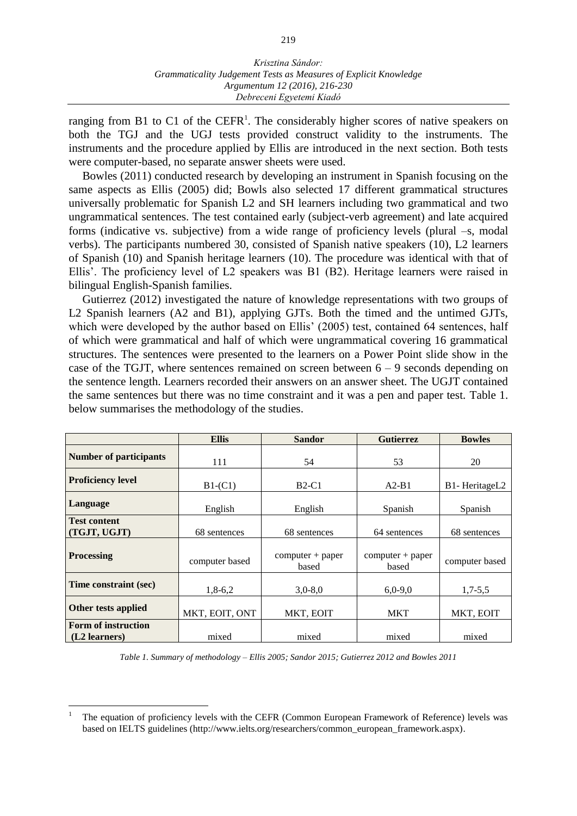ranging from B1 to C1 of the CEFR<sup>1</sup>. The considerably higher scores of native speakers on both the TGJ and the UGJ tests provided construct validity to the instruments. The instruments and the procedure applied by Ellis are introduced in the next section. Both tests were computer-based, no separate answer sheets were used.

Bowles (2011) conducted research by developing an instrument in Spanish focusing on the same aspects as Ellis (2005) did; Bowls also selected 17 different grammatical structures universally problematic for Spanish L2 and SH learners including two grammatical and two ungrammatical sentences. The test contained early (subject-verb agreement) and late acquired forms (indicative vs. subjective) from a wide range of proficiency levels (plural –s, modal verbs). The participants numbered 30, consisted of Spanish native speakers (10), L2 learners of Spanish (10) and Spanish heritage learners (10). The procedure was identical with that of Ellis'. The proficiency level of L2 speakers was B1 (B2). Heritage learners were raised in bilingual English-Spanish families.

Gutierrez (2012) investigated the nature of knowledge representations with two groups of L2 Spanish learners (A2 and B1), applying GJTs. Both the timed and the untimed GJTs, which were developed by the author based on Ellis' (2005) test, contained 64 sentences, half of which were grammatical and half of which were ungrammatical covering 16 grammatical structures. The sentences were presented to the learners on a Power Point slide show in the case of the TGJT, where sentences remained on screen between  $6 - 9$  seconds depending on the sentence length. Learners recorded their answers on an answer sheet. The UGJT contained the same sentences but there was no time constraint and it was a pen and paper test. Table 1. below summarises the methodology of the studies.

|                                                      | <b>Ellis</b>   | <b>Sandor</b>                | <b>Gutierrez</b>            | <b>Bowles</b>  |  |
|------------------------------------------------------|----------------|------------------------------|-----------------------------|----------------|--|
| <b>Number of participants</b>                        | 111            | 54                           | 53                          | 20             |  |
| <b>Proficiency level</b>                             | $B1-(C1)$      | $B2-C1$                      | $A2-B1$                     | B1-HeritageL2  |  |
| Language                                             | English        | English                      | Spanish                     | Spanish        |  |
| <b>Test content</b><br>(TGJT, UGJT)                  | 68 sentences   | 68 sentences<br>64 sentences |                             | 68 sentences   |  |
| <b>Processing</b>                                    | computer based | $computer + paper$<br>based  | $computer + paper$<br>based | computer based |  |
| Time constraint (sec)                                | $1,8-6,2$      | $3,0-8,0$                    | $6,0-9,0$                   | $1,7-5,5$      |  |
| Other tests applied                                  | MKT, EOIT, ONT | MKT, EOIT                    | <b>MKT</b>                  | MKT, EOIT      |  |
| <b>Form of instruction</b><br>(L2 learners)<br>mixed |                | mixed                        | mixed                       | mixed          |  |

*Table 1. Summary of methodology ‒ Ellis 2005; Sandor 2015; Gutierrez 2012 and Bowles 2011*

 $\overline{a}$ 

<sup>1</sup> The equation of proficiency levels with the CEFR (Common European Framework of Reference) levels was based on IELTS guidelines (http://www.ielts.org/researchers/common\_european\_framework.aspx).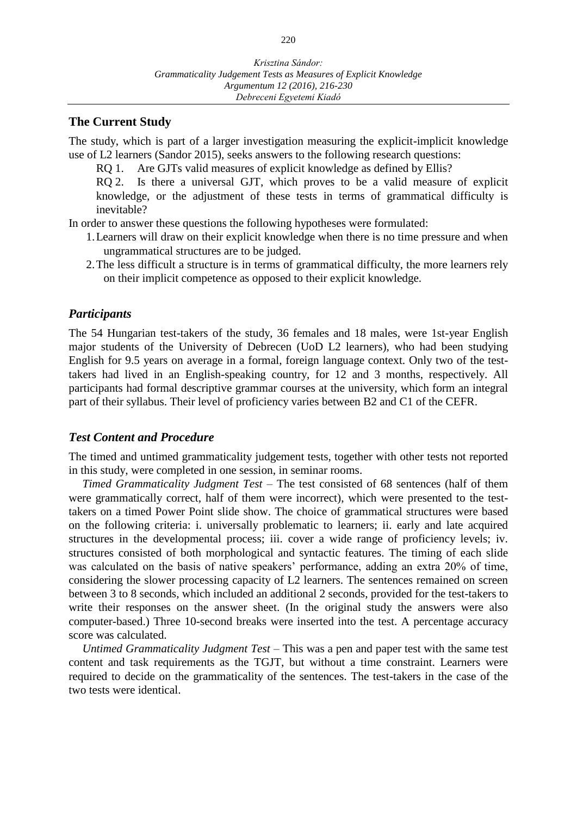## **The Current Study**

The study, which is part of a larger investigation measuring the explicit-implicit knowledge use of L2 learners (Sandor 2015), seeks answers to the following research questions:

RQ 1. Are GJTs valid measures of explicit knowledge as defined by Ellis?

RQ 2. Is there a universal GJT, which proves to be a valid measure of explicit knowledge, or the adjustment of these tests in terms of grammatical difficulty is inevitable?

In order to answer these questions the following hypotheses were formulated:

- 1.Learners will draw on their explicit knowledge when there is no time pressure and when ungrammatical structures are to be judged.
- 2.The less difficult a structure is in terms of grammatical difficulty, the more learners rely on their implicit competence as opposed to their explicit knowledge.

### *Participants*

The 54 Hungarian test-takers of the study, 36 females and 18 males, were 1st-year English major students of the University of Debrecen (UoD L2 learners), who had been studying English for 9.5 years on average in a formal, foreign language context. Only two of the testtakers had lived in an English-speaking country, for 12 and 3 months, respectively. All participants had formal descriptive grammar courses at the university, which form an integral part of their syllabus. Their level of proficiency varies between B2 and C1 of the CEFR.

### *Test Content and Procedure*

The timed and untimed grammaticality judgement tests, together with other tests not reported in this study, were completed in one session, in seminar rooms.

*Timed Grammaticality Judgment Test* – The test consisted of 68 sentences (half of them were grammatically correct, half of them were incorrect), which were presented to the testtakers on a timed Power Point slide show. The choice of grammatical structures were based on the following criteria: i. universally problematic to learners; ii. early and late acquired structures in the developmental process; iii. cover a wide range of proficiency levels; iv. structures consisted of both morphological and syntactic features. The timing of each slide was calculated on the basis of native speakers' performance, adding an extra 20% of time, considering the slower processing capacity of L2 learners. The sentences remained on screen between 3 to 8 seconds, which included an additional 2 seconds, provided for the test-takers to write their responses on the answer sheet. (In the original study the answers were also computer-based.) Three 10-second breaks were inserted into the test. A percentage accuracy score was calculated.

*Untimed Grammaticality Judgment Test* – This was a pen and paper test with the same test content and task requirements as the TGJT, but without a time constraint. Learners were required to decide on the grammaticality of the sentences. The test-takers in the case of the two tests were identical.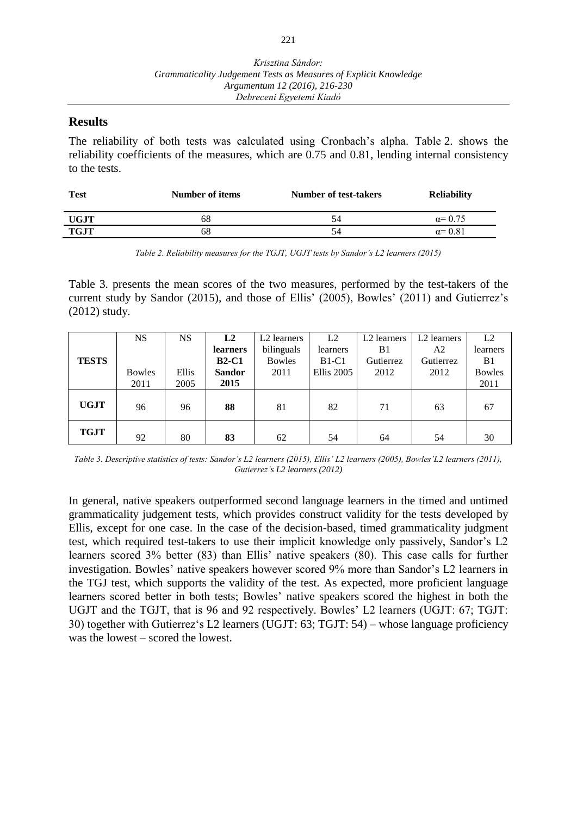## **Results**

The reliability of both tests was calculated using Cronbach's alpha. Table 2. shows the reliability coefficients of the measures, which are 0.75 and 0.81, lending internal consistency to the tests.

| <b>Test</b> | Number of items | Number of test-takers | <b>Reliability</b> |
|-------------|-----------------|-----------------------|--------------------|
| <b>UGJT</b> | 68              | 54                    | $\alpha = 0.75$    |
| <b>TGJT</b> | 68              | 54                    | $\alpha$ = 0.81    |

*Table 2. Reliability measures for the TGJT, UGJT tests by Sandor's L2 learners (2015)*

Table 3. presents the mean scores of the two measures, performed by the test-takers of the current study by Sandor (2015), and those of Ellis' (2005), Bowles' (2011) and Gutierrez's (2012) study.

|              | <b>NS</b>     | NS    | L2            | L <sub>2</sub> learners | L2                | L2 learners | L2 learners | L2            |
|--------------|---------------|-------|---------------|-------------------------|-------------------|-------------|-------------|---------------|
|              |               |       | learners      | bilinguals              | learners          | B1          | A2          | learners      |
| <b>TESTS</b> |               |       | $B2-C1$       | <b>Bowles</b>           | $B1-C1$           | Gutierrez   | Gutierrez   | B1            |
|              | <b>Bowles</b> | Ellis | <b>Sandor</b> | 2011                    | <b>Ellis</b> 2005 | 2012        | 2012        | <b>Bowles</b> |
|              | 2011          | 2005  | 2015          |                         |                   |             |             | 2011          |
| <b>UGJT</b>  | 96            | 96    | 88            | 81                      | 82                | 71          | 63          | 67            |
| <b>TGJT</b>  | 92            | 80    | 83            | 62                      | 54                | 64          | 54          | 30            |

*Table 3. Descriptive statistics of tests: Sandor's L2 learners (2015), Ellis' L2 learners (2005), Bowles'L2 learners (2011), Gutierrez's L2 learners (2012)*

In general, native speakers outperformed second language learners in the timed and untimed grammaticality judgement tests, which provides construct validity for the tests developed by Ellis, except for one case. In the case of the decision-based, timed grammaticality judgment test, which required test-takers to use their implicit knowledge only passively, Sandor's L2 learners scored 3% better (83) than Ellis' native speakers (80). This case calls for further investigation. Bowles' native speakers however scored 9% more than Sandor's L2 learners in the TGJ test, which supports the validity of the test. As expected, more proficient language learners scored better in both tests; Bowles' native speakers scored the highest in both the UGJT and the TGJT, that is 96 and 92 respectively. Bowles' L2 learners (UGJT: 67; TGJT: 30) together with Gutierrez's L2 learners (UGJT: 63; TGJT: 54) – whose language proficiency was the lowest – scored the lowest.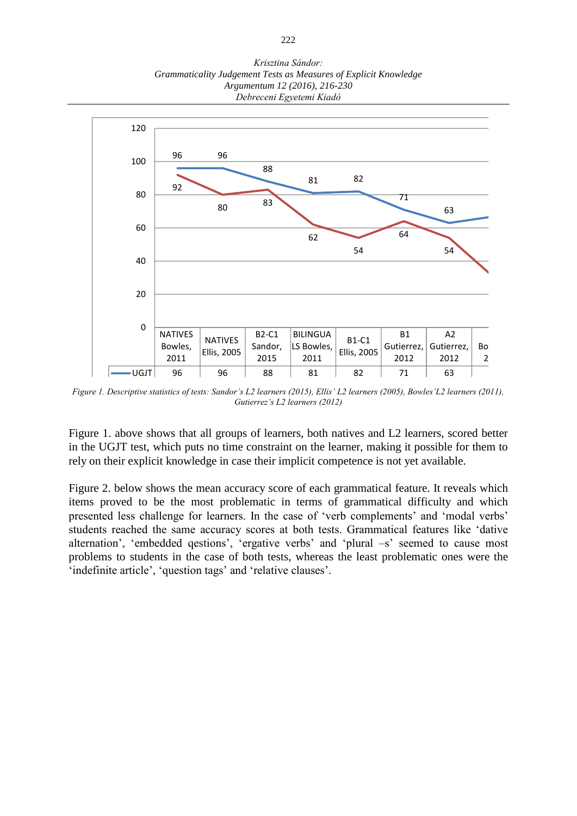*Krisztina Sándor: Grammaticality Judgement Tests as Measures of Explicit Knowledge Argumentum 12 (2016), 216-230 Debreceni Egyetemi Kiadó*



Figure 1. Descriptive statistics of tests: Sandor's L2 learners (2015), Ellis' L2 learners (2005), Bowles'L2 learners (2011), *Gutierrez's L2 learners (2012)*

Figure 1. above shows that all groups of learners, both natives and L2 learners, scored better in the UGJT test, which puts no time constraint on the learner, making it possible for them to rely on their explicit knowledge in case their implicit competence is not yet available.

Figure 2. below shows the mean accuracy score of each grammatical feature. It reveals which items proved to be the most problematic in terms of grammatical difficulty and which presented less challenge for learners. In the case of 'verb complements' and 'modal verbs' students reached the same accuracy scores at both tests. Grammatical features like 'dative alternation', 'embedded qestions', 'ergative verbs' and 'plural –s' seemed to cause most problems to students in the case of both tests, whereas the least problematic ones were the 'indefinite article', 'question tags' and 'relative clauses'.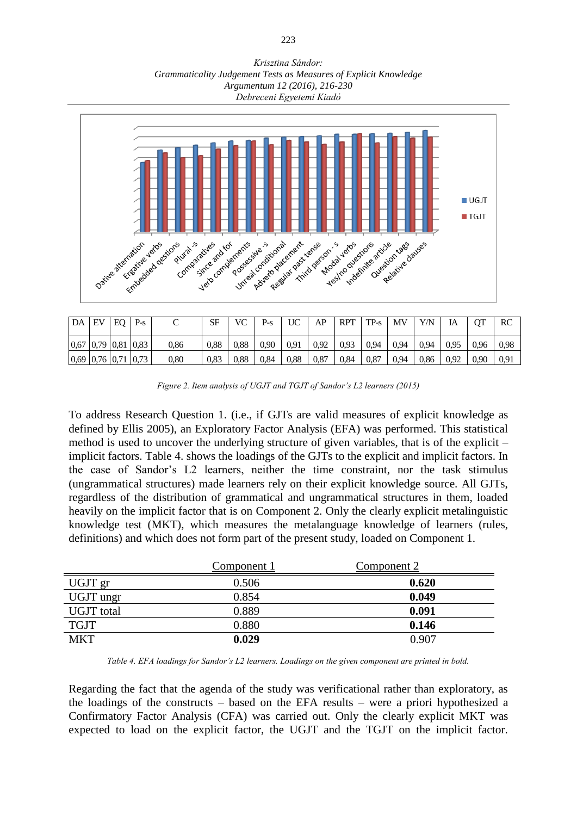*Krisztina Sándor: Grammaticality Judgement Tests as Measures of Explicit Knowledge Argumentum 12 (2016), 216-230 Debreceni Egyetemi Kiadó*



| DA             | EV | EO | $P-S$ | ◡          | SF   | VC   | $P-S$ | UC   | AP   | <b>RPT</b> | $TP-S$ | MV   | Y/N  | IA   | OТ   | RC   |
|----------------|----|----|-------|------------|------|------|-------|------|------|------------|--------|------|------|------|------|------|
| 0,67 0,79 0,81 |    |    | 0.83  | 0,86       | 0.88 | 0.88 | 0,90  | 0.91 | 0.92 | 0.93       | 0,94   | 0.94 | 0.94 | 0.95 | 0.96 | 0.98 |
| 0,69 0,76 0,71 |    |    | 0.73  | $\rm 0.80$ | 0.83 | 0.88 | 0.84  | 0.88 | 0,87 | 0,84       | 0,87   | 0.94 | 0,86 | 0.92 | 0,90 | 0.91 |

*Figure 2. Item analysis of UGJT and TGJT of Sandor's L2 learners (2015)*

To address Research Question 1. (i.e., if GJTs are valid measures of explicit knowledge as defined by Ellis 2005), an Exploratory Factor Analysis (EFA) was performed. This statistical method is used to uncover the underlying structure of given [variables,](https://en.wikipedia.org/wiki/Variable_%28research%29) that is of the explicit – implicit factors. Table 4. shows the loadings of the GJTs to the explicit and implicit factors. In the case of Sandor's L2 learners, neither the time constraint, nor the task stimulus (ungrammatical structures) made learners rely on their explicit knowledge source. All GJTs, regardless of the distribution of grammatical and ungrammatical structures in them, loaded heavily on the implicit factor that is on Component 2. Only the clearly explicit metalinguistic knowledge test (MKT), which measures the metalanguage knowledge of learners (rules, definitions) and which does not form part of the present study, loaded on Component 1.

|                   | Component 1 | Component 2 |
|-------------------|-------------|-------------|
| UGJT gr           | 0.506       | 0.620       |
| UGJT ungr         | 0.854       | 0.049       |
| <b>UGJT</b> total | 0.889       | 0.091       |
| <b>TGJT</b>       | 0.880       | 0.146       |
| <b>MKT</b>        | 0.029       | 0.907       |

*Table 4. EFA loadings for Sandor's L2 learners. Loadings on the given component are printed in bold.*

Regarding the fact that the agenda of the study was verificational rather than exploratory, as the loadings of the constructs  $-$  based on the EFA results  $-$  were a priori hypothesized a Confirmatory Factor Analysis (CFA) was carried out. Only the clearly explicit MKT was expected to load on the explicit factor, the UGJT and the TGJT on the implicit factor.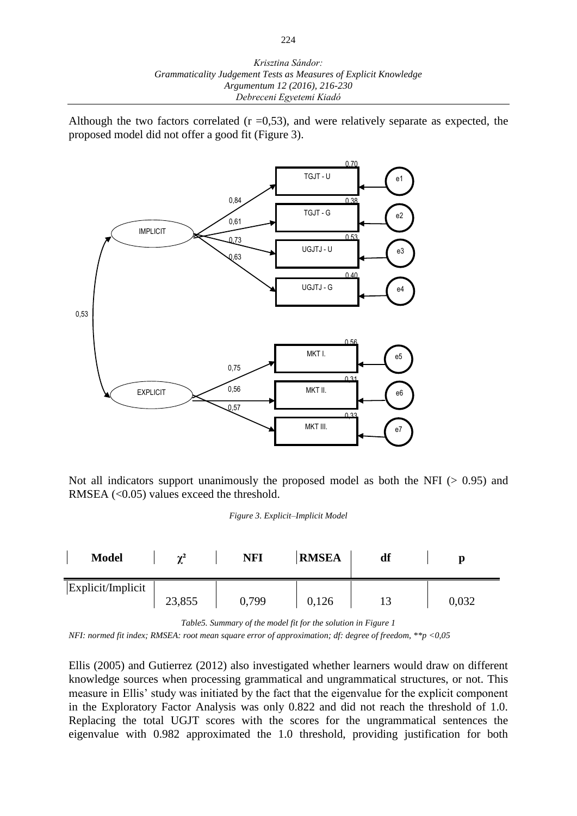Although the two factors correlated  $(r = 0.53)$ , and were relatively separate as expected, the proposed model did not offer a good fit (Figure 3).



Not all indicators support unanimously the proposed model as both the NFI ( $> 0.95$ ) and RMSEA  $(<0.05$ ) values exceed the threshold.

*Figure 3. Explicit–Implicit Model* 

| <b>Model</b>      | $\sim$ <sup>2</sup> | <b>NFI</b> | <b>RMSEA</b> | df | Ŋ     |
|-------------------|---------------------|------------|--------------|----|-------|
| Explicit/Implicit | 23,855              | 0,799      | 0,126        |    | 0,032 |

*Table5. Summary of the model fit for the solution in Figure 1*

*NFI: normed fit index; RMSEA: root mean square error of approximation; df: degree of freedom, \*\*p <0,05*

Ellis (2005) and Gutierrez (2012) also investigated whether learners would draw on different knowledge sources when processing grammatical and ungrammatical structures, or not. This measure in Ellis' study was initiated by the fact that the eigenvalue for the explicit component in the Exploratory Factor Analysis was only 0.822 and did not reach the threshold of 1.0. Replacing the total UGJT scores with the scores for the ungrammatical sentences the eigenvalue with 0.982 approximated the 1.0 threshold, providing justification for both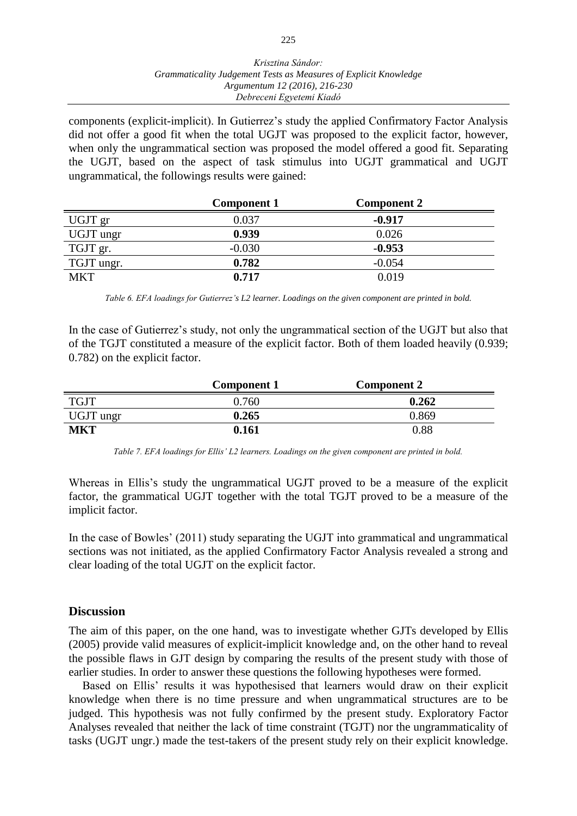components (explicit-implicit). In Gutierrez's study the applied Confirmatory Factor Analysis did not offer a good fit when the total UGJT was proposed to the explicit factor, however, when only the ungrammatical section was proposed the model offered a good fit. Separating the UGJT, based on the aspect of task stimulus into UGJT grammatical and UGJT ungrammatical, the followings results were gained:

|            | <b>Component 1</b> | <b>Component 2</b> |  |
|------------|--------------------|--------------------|--|
| UGJT gr    | 0.037              | $-0.917$           |  |
| UGJT ungr  | 0.939              | 0.026              |  |
| TGJT gr.   | $-0.030$           | $-0.953$           |  |
| TGJT ungr. | 0.782              | $-0.054$           |  |
| <b>MKT</b> | 0.717              | 0.019              |  |

*Table 6. EFA loadings for Gutierrez's L2 learner. Loadings on the given component are printed in bold.* 

In the case of Gutierrez's study, not only the ungrammatical section of the UGJT but also that of the TGJT constituted a measure of the explicit factor. Both of them loaded heavily (0.939; 0.782) on the explicit factor.

|             | Component 1 | <b>Component 2</b> |
|-------------|-------------|--------------------|
| <b>TGJT</b> | 0.760       | 0.262              |
| UGJT ungr   | 0.265       | 0.869              |
| <b>MKT</b>  | 0.161       | 0.88               |

*Table 7. EFA loadings for Ellis' L2 learners. Loadings on the given component are printed in bold.*

Whereas in Ellis's study the ungrammatical UGJT proved to be a measure of the explicit factor, the grammatical UGJT together with the total TGJT proved to be a measure of the implicit factor.

In the case of Bowles' (2011) study separating the UGJT into grammatical and ungrammatical sections was not initiated, as the applied Confirmatory Factor Analysis revealed a strong and clear loading of the total UGJT on the explicit factor.

#### **Discussion**

The aim of this paper, on the one hand, was to investigate whether GJTs developed by Ellis (2005) provide valid measures of explicit-implicit knowledge and, on the other hand to reveal the possible flaws in GJT design by comparing the results of the present study with those of earlier studies. In order to answer these questions the following hypotheses were formed.

Based on Ellis' results it was hypothesised that learners would draw on their explicit knowledge when there is no time pressure and when ungrammatical structures are to be judged. This hypothesis was not fully confirmed by the present study. Exploratory Factor Analyses revealed that neither the lack of time constraint (TGJT) nor the ungrammaticality of tasks (UGJT ungr.) made the test-takers of the present study rely on their explicit knowledge.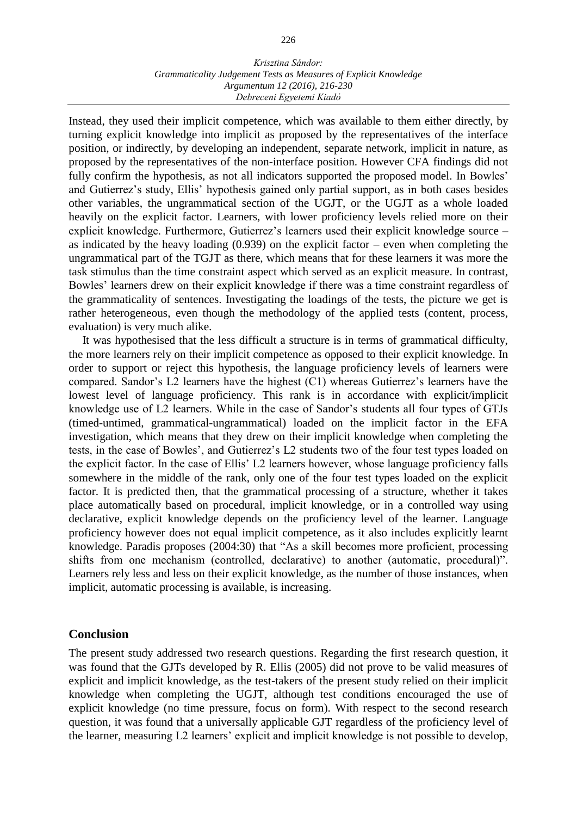#### *Krisztina Sándor: Grammaticality Judgement Tests as Measures of Explicit Knowledge Argumentum 12 (2016), 216-230 Debreceni Egyetemi Kiadó*

Instead, they used their implicit competence, which was available to them either directly, by turning explicit knowledge into implicit as proposed by the representatives of the interface position, or indirectly, by developing an independent, separate network, implicit in nature, as proposed by the representatives of the non-interface position. However CFA findings did not fully confirm the hypothesis, as not all indicators supported the proposed model. In Bowles' and Gutierrez's study, Ellis' hypothesis gained only partial support, as in both cases besides other variables, the ungrammatical section of the UGJT, or the UGJT as a whole loaded heavily on the explicit factor. Learners, with lower proficiency levels relied more on their explicit knowledge. Furthermore, Gutierrez's learners used their explicit knowledge source – as indicated by the heavy loading  $(0.939)$  on the explicit factor – even when completing the ungrammatical part of the TGJT as there, which means that for these learners it was more the task stimulus than the time constraint aspect which served as an explicit measure. In contrast, Bowles' learners drew on their explicit knowledge if there was a time constraint regardless of the grammaticality of sentences. Investigating the loadings of the tests, the picture we get is rather heterogeneous, even though the methodology of the applied tests (content, process, evaluation) is very much alike.

It was hypothesised that the less difficult a structure is in terms of grammatical difficulty, the more learners rely on their implicit competence as opposed to their explicit knowledge. In order to support or reject this hypothesis, the language proficiency levels of learners were compared. Sandor's L2 learners have the highest (C1) whereas Gutierrez's learners have the lowest level of language proficiency. This rank is in accordance with explicit/implicit knowledge use of L2 learners. While in the case of Sandor's students all four types of GTJs (timed-untimed, grammatical-ungrammatical) loaded on the implicit factor in the EFA investigation, which means that they drew on their implicit knowledge when completing the tests, in the case of Bowles', and Gutierrez's L2 students two of the four test types loaded on the explicit factor. In the case of Ellis' L2 learners however, whose language proficiency falls somewhere in the middle of the rank, only one of the four test types loaded on the explicit factor. It is predicted then, that the grammatical processing of a structure, whether it takes place automatically based on procedural, implicit knowledge, or in a controlled way using declarative, explicit knowledge depends on the proficiency level of the learner. Language proficiency however does not equal implicit competence, as it also includes explicitly learnt knowledge. Paradis proposes (2004:30) that "As a skill becomes more proficient, processing shifts from one mechanism (controlled, declarative) to another (automatic, procedural)". Learners rely less and less on their explicit knowledge, as the number of those instances, when implicit, automatic processing is available, is increasing.

### **Conclusion**

The present study addressed two research questions. Regarding the first research question, it was found that the GJTs developed by R. Ellis (2005) did not prove to be valid measures of explicit and implicit knowledge, as the test-takers of the present study relied on their implicit knowledge when completing the UGJT, although test conditions encouraged the use of explicit knowledge (no time pressure, focus on form). With respect to the second research question, it was found that a universally applicable GJT regardless of the proficiency level of the learner, measuring L2 learners' explicit and implicit knowledge is not possible to develop,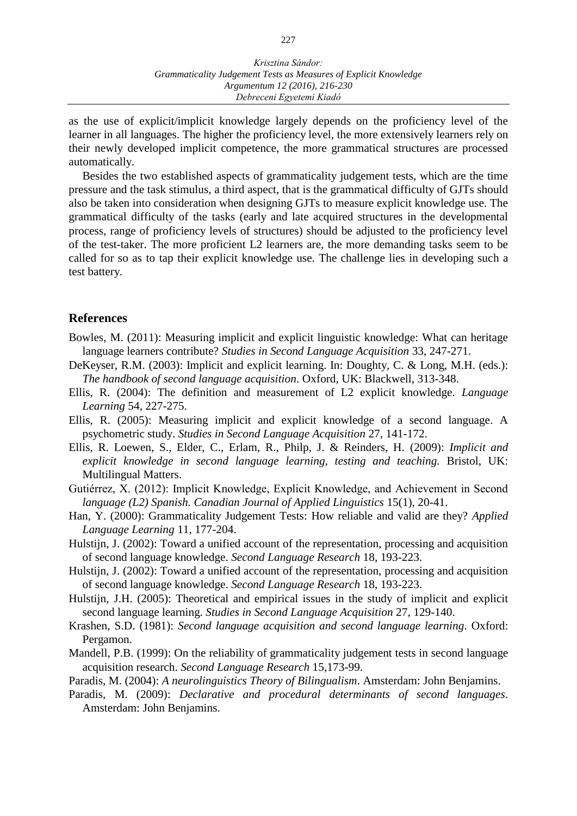as the use of explicit/implicit knowledge largely depends on the proficiency level of the learner in all languages. The higher the proficiency level, the more extensively learners rely on their newly developed implicit competence, the more grammatical structures are processed automatically.

Besides the two established aspects of grammaticality judgement tests, which are the time pressure and the task stimulus, a third aspect, that is the grammatical difficulty of GJTs should also be taken into consideration when designing GJTs to measure explicit knowledge use. The grammatical difficulty of the tasks (early and late acquired structures in the developmental process, range of proficiency levels of structures) should be adjusted to the proficiency level of the test-taker. The more proficient L2 learners are, the more demanding tasks seem to be called for so as to tap their explicit knowledge use. The challenge lies in developing such a test battery.

## **References**

- Bowles, M. (2011): Measuring implicit and explicit linguistic knowledge: What can heritage language learners contribute? *Studies in Second Language Acquisition* 33, 247-271.
- DeKeyser, R.M. (2003): Implicit and explicit learning. In: Doughty, C. & Long, M.H. (eds.): *The handbook of second language acquisition*. Oxford, UK: Blackwell, 313-348.
- Ellis, R. (2004): The definition and measurement of L2 explicit knowledge. *Language Learning* 54, 227-275.
- Ellis, R. (2005): Measuring implicit and explicit knowledge of a second language. A psychometric study. *Studies in Second Language Acquisition* 27, 141-172.
- Ellis, R. Loewen, S., Elder, C., Erlam, R., Philp, J. & Reinders, H. (2009): *Implicit and explicit knowledge in second language learning, testing and teaching.* Bristol, UK: Multilingual Matters.
- Gutiérrez, X. (2012): Implicit Knowledge, Explicit Knowledge, and Achievement in Second *language (L2) Spanish. Canadian Journal of Applied Linguistics* 15(1), 20-41.
- Han, Y. (2000): Grammaticality Judgement Tests: How reliable and valid are they? *Applied Language Learning* 11, 177-204.
- Hulstijn, J. (2002): Toward a unified account of the representation, processing and acquisition of second language knowledge. *Second Language Research* 18, 193-223.
- Hulstijn, J. (2002): Toward a unified account of the representation, processing and acquisition of second language knowledge. *Second Language Research* 18, 193-223.
- Hulstijn, J.H. (2005): Theoretical and empirical issues in the study of implicit and explicit second language learning. *Studies in Second Language Acquisition* 27, 129-140.
- Krashen, S.D. (1981): *Second language acquisition and second language learning*. Oxford: Pergamon.
- Mandell, P.B. (1999): On the reliability of grammaticality judgement tests in second language acquisition research. *Second Language Research* 15,173-99.
- Paradis, M. (2004): *A neurolinguistics Theory of Bilingualism*. Amsterdam: John Benjamins.
- Paradis, M. (2009): *Declarative and procedural determinants of second languages*. Amsterdam: John Benjamins.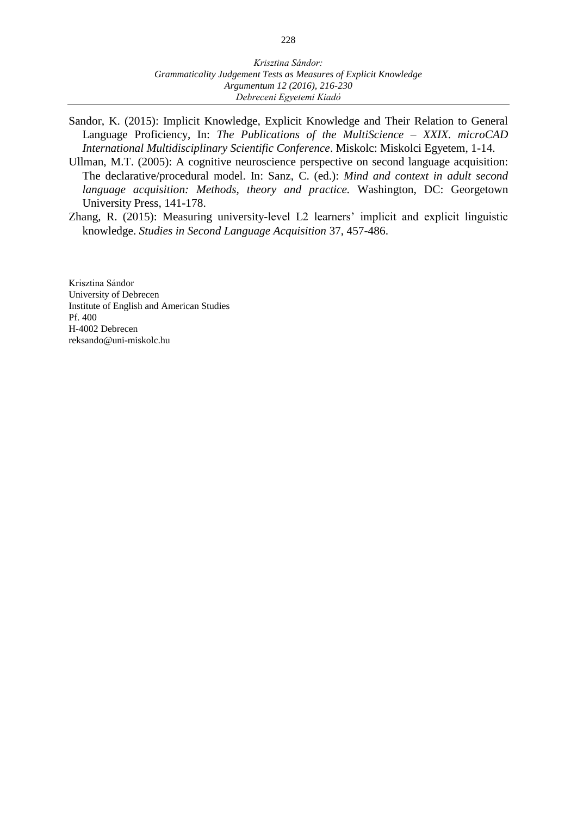- Sandor, K. (2015): Implicit Knowledge, Explicit Knowledge and Their Relation to General Language Proficiency, In: *The Publications of the MultiScience ‒ XXIX. microCAD International Multidisciplinary Scientific Conference*. Miskolc: Miskolci Egyetem, 1-14.
- Ullman, M.T. (2005): A cognitive neuroscience perspective on second language acquisition: The declarative/procedural model. In: Sanz, C. (ed.): *Mind and context in adult second language acquisition: Methods, theory and practice.* Washington, DC: Georgetown University Press, 141-178.
- Zhang, R. (2015): Measuring university-level L2 learners' implicit and explicit linguistic knowledge. *Studies in Second Language Acquisition* 37, 457-486.

Krisztina Sándor University of Debrecen Institute of English and American Studies Pf. 400 H-4002 Debrecen [reksando@uni-miskolc.hu](mailto:szucspeter.uni@gmail.com)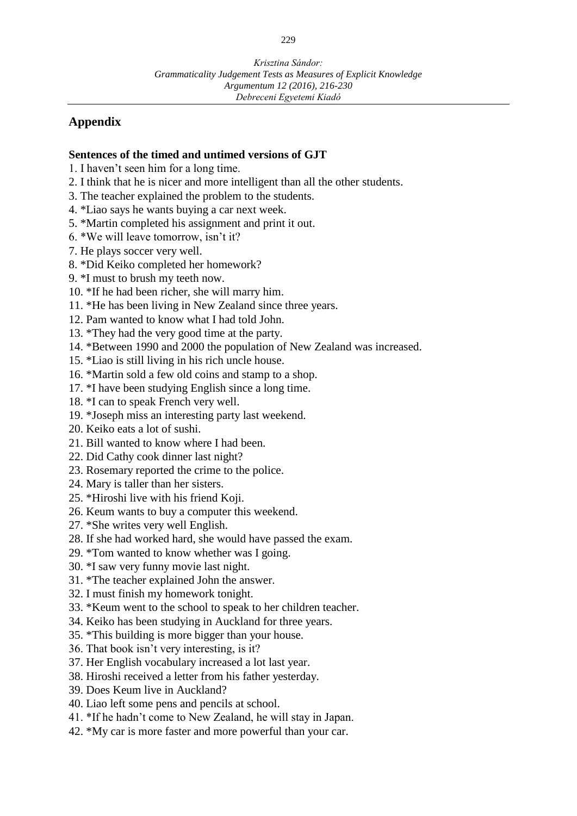## **Appendix**

### **Sentences of the timed and untimed versions of GJT**

- 1. I haven't seen him for a long time.
- 2. I think that he is nicer and more intelligent than all the other students.
- 3. The teacher explained the problem to the students.
- 4. \*Liao says he wants buying a car next week.
- 5. \*Martin completed his assignment and print it out.
- 6. \*We will leave tomorrow, isn't it?
- 7. He plays soccer very well.
- 8. \*Did Keiko completed her homework?
- 9. \*I must to brush my teeth now.
- 10. \*If he had been richer, she will marry him.
- 11. \*He has been living in New Zealand since three years.
- 12. Pam wanted to know what I had told John.
- 13. \*They had the very good time at the party.
- 14. \*Between 1990 and 2000 the population of New Zealand was increased.
- 15. \*Liao is still living in his rich uncle house.
- 16. \*Martin sold a few old coins and stamp to a shop.
- 17. \*I have been studying English since a long time.
- 18. \*I can to speak French very well.
- 19. \*Joseph miss an interesting party last weekend.
- 20. Keiko eats a lot of sushi.
- 21. Bill wanted to know where I had been.
- 22. Did Cathy cook dinner last night?
- 23. Rosemary reported the crime to the police.
- 24. Mary is taller than her sisters.
- 25. \*Hiroshi live with his friend Koji.
- 26. Keum wants to buy a computer this weekend.
- 27. \*She writes very well English.
- 28. If she had worked hard, she would have passed the exam.
- 29. \*Tom wanted to know whether was I going.
- 30. \*I saw very funny movie last night.
- 31. \*The teacher explained John the answer.
- 32. I must finish my homework tonight.
- 33. \*Keum went to the school to speak to her children teacher.
- 34. Keiko has been studying in Auckland for three years.
- 35. \*This building is more bigger than your house.
- 36. That book isn't very interesting, is it?
- 37. Her English vocabulary increased a lot last year.
- 38. Hiroshi received a letter from his father yesterday.
- 39. Does Keum live in Auckland?
- 40. Liao left some pens and pencils at school.
- 41. \*If he hadn't come to New Zealand, he will stay in Japan.
- 42. \*My car is more faster and more powerful than your car.